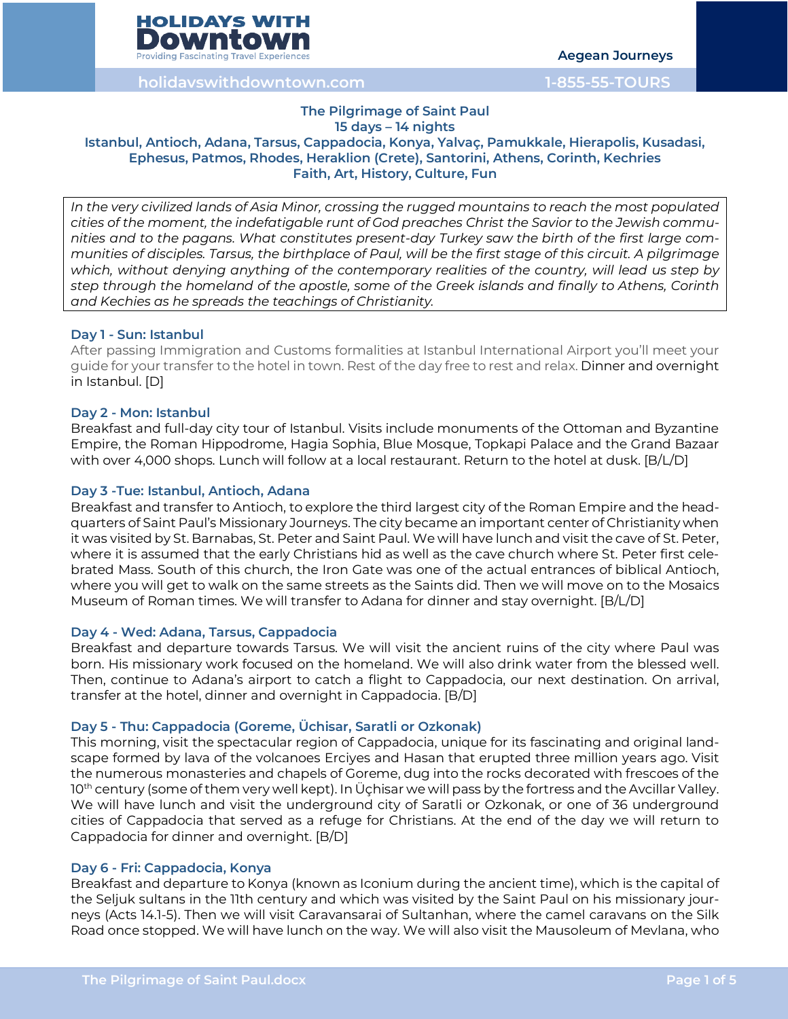

**Aegean Journeys**

**holidayswithdowntown.com 1-855-55-TOURS**

#### **The Pilgrimage of Saint Paul 15 days – 14 nights**

# **Istanbul, Antioch, Adana, Tarsus, Cappadocia, Konya, Yalvaç, Pamukkale, Hierapolis, Kusadasi, Ephesus, Patmos, Rhodes, Heraklion (Crete), Santorini, Athens, Corinth, Kechries Faith, Art, History, Culture, Fun**

*In the very civilized lands of Asia Minor, crossing the rugged mountains to reach the most populated cities of the moment, the indefatigable runt of God preaches Christ the Savior to the Jewish communities and to the pagans. What constitutes present-day Turkey saw the birth of the first large communities of disciples. Tarsus, the birthplace of Paul, will be the first stage of this circuit. A pilgrimage which, without denying anything of the contemporary realities of the country, will lead us step by step through the homeland of the apostle, some of the Greek islands and finally to Athens, Corinth and Kechies as he spreads the teachings of Christianity.*

# **Day 1 - Sun: Istanbul**

After passing Immigration and Customs formalities at Istanbul International Airport you'll meet your guide for your transfer to the hotel in town. Rest of the day free to rest and relax. Dinner and overnight in Istanbul. [D]

# **Day 2 - Mon: Istanbul**

Breakfast and full-day city tour of Istanbul. Visits include monuments of the Ottoman and Byzantine Empire, the Roman Hippodrome, Hagia Sophia, Blue Mosque, Topkapi Palace and the Grand Bazaar with over 4,000 shops. Lunch will follow at a local restaurant. Return to the hotel at dusk. [B/L/D]

# **Day 3 -Tue: Istanbul, Antioch, Adana**

Breakfast and transfer to Antioch, to explore the third largest city of the Roman Empire and the headquarters of Saint Paul's Missionary Journeys. The city became an important center of Christianity when it was visited by St. Barnabas, St. Peter and Saint Paul. We will have lunch and visit the cave of St. Peter, where it is assumed that the early Christians hid as well as the cave church where St. Peter first celebrated Mass. South of this church, the Iron Gate was one of the actual entrances of biblical Antioch, where you will get to walk on the same streets as the Saints did. Then we will move on to the Mosaics Museum of Roman times. We will transfer to Adana for dinner and stay overnight. [B/L/D]

### **Day 4 - Wed: Adana, Tarsus, Cappadocia**

Breakfast and departure towards Tarsus. We will visit the ancient ruins of the city where Paul was born. His missionary work focused on the homeland. We will also drink water from the blessed well. Then, continue to Adana's airport to catch a flight to Cappadocia, our next destination. On arrival, transfer at the hotel, dinner and overnight in Cappadocia. [B/D]

### **Day 5 - Thu: Cappadocia (Goreme, Üchisar, Saratli or Ozkonak)**

This morning, visit the spectacular region of Cappadocia, unique for its fascinating and original landscape formed by lava of the volcanoes Erciyes and Hasan that erupted three million years ago. Visit the numerous monasteries and chapels of Goreme, dug into the rocks decorated with frescoes of the 10<sup>th</sup> century (some of them very well kept). In Üçhisar we will pass by the fortress and the Avcillar Valley. We will have lunch and visit the underground city of Saratli or Ozkonak, or one of 36 underground cities of Cappadocia that served as a refuge for Christians. At the end of the day we will return to Cappadocia for dinner and overnight. [B/D]

### **Day 6 - Fri: Cappadocia, Konya**

Breakfast and departure to Konya (known as Iconium during the ancient time), which is the capital of the Seljuk sultans in the 11th century and which was visited by the Saint Paul on his missionary journeys (Acts 14.1-5). Then we will visit Caravansarai of Sultanhan, where the camel caravans on the Silk Road once stopped. We will have lunch on the way. We will also visit the Mausoleum of Mevlana, who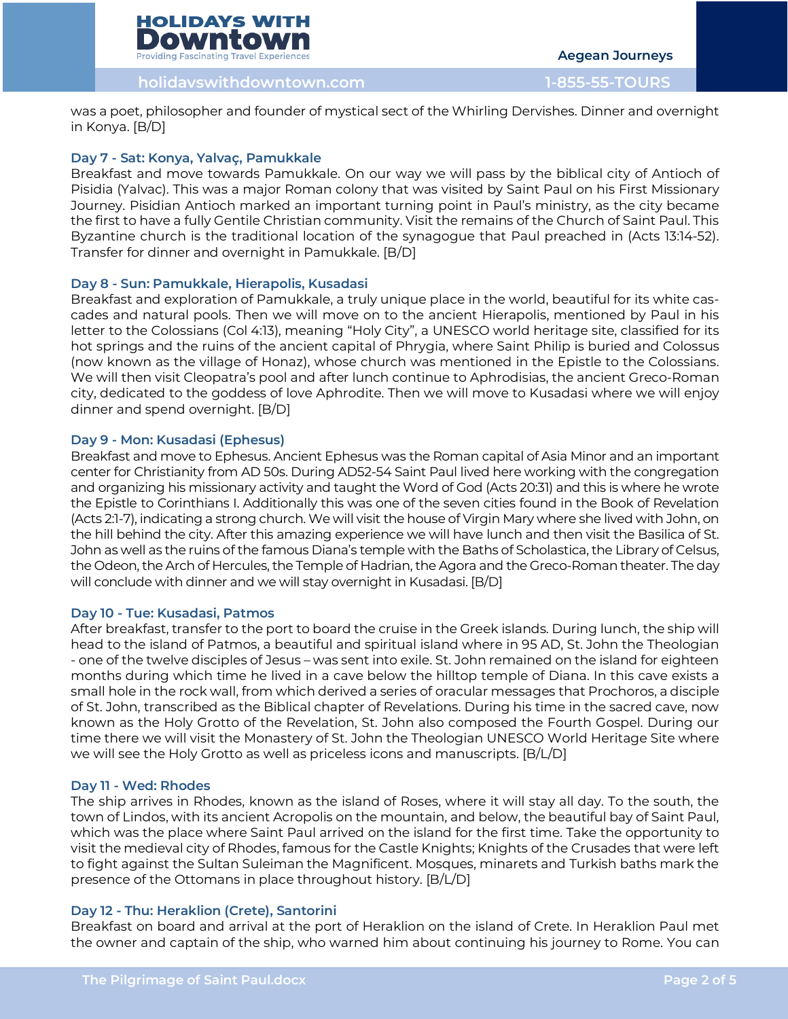

**holidayswithdowntown.com 1-855-55-TOURS**

was a poet, philosopher and founder of mystical sect of the Whirling Dervishes. Dinner and overnight in Konya. [B/D]

# **Day 7 - Sat: Konya, Yalvaç, Pamukkale**

Breakfast and move towards Pamukkale. On our way we will pass by the biblical city of Antioch of Pisidia (Yalvac). This was a major Roman colony that was visited by Saint Paul on his First Missionary Journey. Pisidian Antioch marked an important turning point in Paul's ministry, as the city became the first to have a fully Gentile Christian community. Visit the remains of the Church of Saint Paul. This Byzantine church is the traditional location of the synagogue that Paul preached in (Acts 13:14-52). Transfer for dinner and overnight in Pamukkale. [B/D]

### **Day 8 - Sun: Pamukkale, Hierapolis, Kusadasi**

Breakfast and exploration of Pamukkale, a truly unique place in the world, beautiful for its white cascades and natural pools. Then we will move on to the ancient Hierapolis, mentioned by Paul in his letter to the Colossians (Col 4:13), meaning "Holy City", a UNESCO world heritage site, classified for its hot springs and the ruins of the ancient capital of Phrygia, where Saint Philip is buried and Colossus (now known as the village of Honaz), whose church was mentioned in the Epistle to the Colossians. We will then visit Cleopatra's pool and after lunch continue to Aphrodisias, the ancient Greco-Roman city, dedicated to the goddess of love Aphrodite. Then we will move to Kusadasi where we will enjoy dinner and spend overnight. [B/D]

# **Day 9 - Mon: Kusadasi (Ephesus)**

Breakfast and move to Ephesus. Ancient Ephesus was the Roman capital of Asia Minor and an important center for Christianity from AD 50s. During AD52-54 Saint Paul lived here working with the congregation and organizing his missionary activity and taught the Word of God (Acts 20:31) and this is where he wrote the Epistle to Corinthians I. Additionally this was one of the seven cities found in the Book of Revelation (Acts 2:1-7), indicating a strong church. We will visit the house of Virgin Mary where she lived with John, on the hill behind the city. After this amazing experience we will have lunch and then visit the Basilica of St. John as well as the ruins of the famous Diana's temple with the Baths of Scholastica, the Library of Celsus, the Odeon, the Arch of Hercules, the Temple of Hadrian, the Agora and the Greco-Roman theater. The day will conclude with dinner and we will stay overnight in Kusadasi. [B/D]

### **Day 10 - Tue: Kusadasi, Patmos**

After breakfast, transfer to the port to board the cruise in the Greek islands. During lunch, the ship will head to the island of Patmos, a beautiful and spiritual island where in 95 AD, St. John the Theologian - one of the twelve disciples of Jesus – was sent into exile. St. John remained on the island for eighteen months during which time he lived in a cave below the hilltop temple of Diana. In this cave exists a small hole in the rock wall, from which derived a series of oracular messages that Prochoros, a disciple of St. John, transcribed as the Biblical chapter of Revelations. During his time in the sacred cave, now known as the Holy Grotto of the Revelation, St. John also composed the Fourth Gospel. During our time there we will visit the Monastery of St. John the Theologian UNESCO World Heritage Site where we will see the Holy Grotto as well as priceless icons and manuscripts. [B/L/D]

### **Day 11 - Wed: Rhodes**

The ship arrives in Rhodes, known as the island of Roses, where it will stay all day. To the south, the town of Lindos, with its ancient Acropolis on the mountain, and below, the beautiful bay of Saint Paul, which was the place where Saint Paul arrived on the island for the first time. Take the opportunity to visit the medieval city of Rhodes, famous for the Castle Knights; Knights of the Crusades that were left to fight against the Sultan Suleiman the Magnificent. Mosques, minarets and Turkish baths mark the presence of the Ottomans in place throughout history. [B/L/D]

# **Day 12 - Thu: Heraklion (Crete), Santorini**

Breakfast on board and arrival at the port of Heraklion on the island of Crete. In Heraklion Paul met the owner and captain of the ship, who warned him about continuing his journey to Rome. You can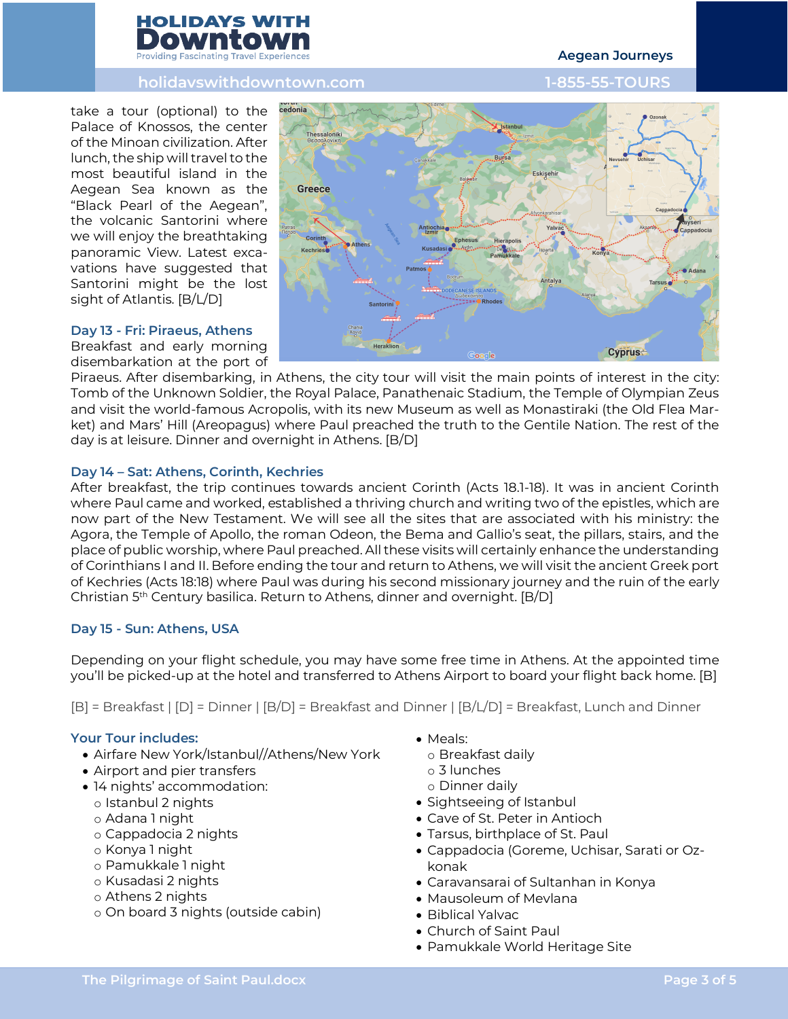

# **holidayswithdowntown.com 1-855-55-TOURS**

# take a tour (optional) to the Palace of Knossos, the center of the Minoan civilization. After lunch, the ship will travel to the most beautiful island in the Aegean Sea known as the "Black Pearl of the Aegean", the volcanic Santorini where we will enjoy the breathtaking panoramic View. Latest excavations have suggested that Santorini might be the lost sight of Atlantis. [B/L/D]

#### **Day 13 - Fri: Piraeus, Athens**

Breakfast and early morning disembarkation at the port of



Piraeus. After disembarking, in Athens, the city tour will visit the main points of interest in the city: Tomb of the Unknown Soldier, the Royal Palace, Panathenaic Stadium, the Temple of Olympian Zeus and visit the world-famous Acropolis, with its new Museum as well as Monastiraki (the Old Flea Market) and Mars' Hill (Areopagus) where Paul preached the truth to the Gentile Nation. The rest of the day is at leisure. Dinner and overnight in Athens. [B/D]

### **Day 14 – Sat: Athens, Corinth, Kechries**

After breakfast, the trip continues towards ancient Corinth (Acts 18.1-18). It was in ancient Corinth where Paul came and worked, established a thriving church and writing two of the epistles, which are now part of the New Testament. We will see all the sites that are associated with his ministry: the Agora, the Temple of Apollo, the roman Odeon, the Bema and Gallio's seat, the pillars, stairs, and the place of public worship, where Paul preached. All these visits will certainly enhance the understanding of Corinthians I and II. Before ending the tour and return to Athens, we will visit the ancient Greek port of Kechries (Acts 18:18) where Paul was during his second missionary journey and the ruin of the early Christian 5th Century basilica. Return to Athens, dinner and overnight. [B/D]

### **Day 15 - Sun: Athens, USA**

Depending on your flight schedule, you may have some free time in Athens. At the appointed time you'll be picked-up at the hotel and transferred to Athens Airport to board your flight back home. [B]

[B] = Breakfast | [D] = Dinner | [B/D] = Breakfast and Dinner | [B/L/D] = Breakfast, Lunch and Dinner

# **Your Tour includes:**

- Airfare New York/Istanbul//Athens/New York
- Airport and pier transfers
- 14 nights' accommodation:
	- o Istanbul 2 nights
	- o Adana 1 night
	- o Cappadocia 2 nights
	- o Konya 1 night
	- o Pamukkale 1 night
	- o Kusadasi 2 nights
	- o Athens 2 nights
	- o On board 3 nights (outside cabin)
- Meals:
	- o Breakfast daily
	- o 3 lunches
- o Dinner daily
- Sightseeing of Istanbul
- Cave of St. Peter in Antioch
- Tarsus, birthplace of St. Paul
- Cappadocia (Goreme, Uchisar, Sarati or Ozkonak
- Caravansarai of Sultanhan in Konya
- Mausoleum of Mevlana
- Biblical Yalvac
- Church of Saint Paul
- Pamukkale World Heritage Site

# **Aegean Journeys**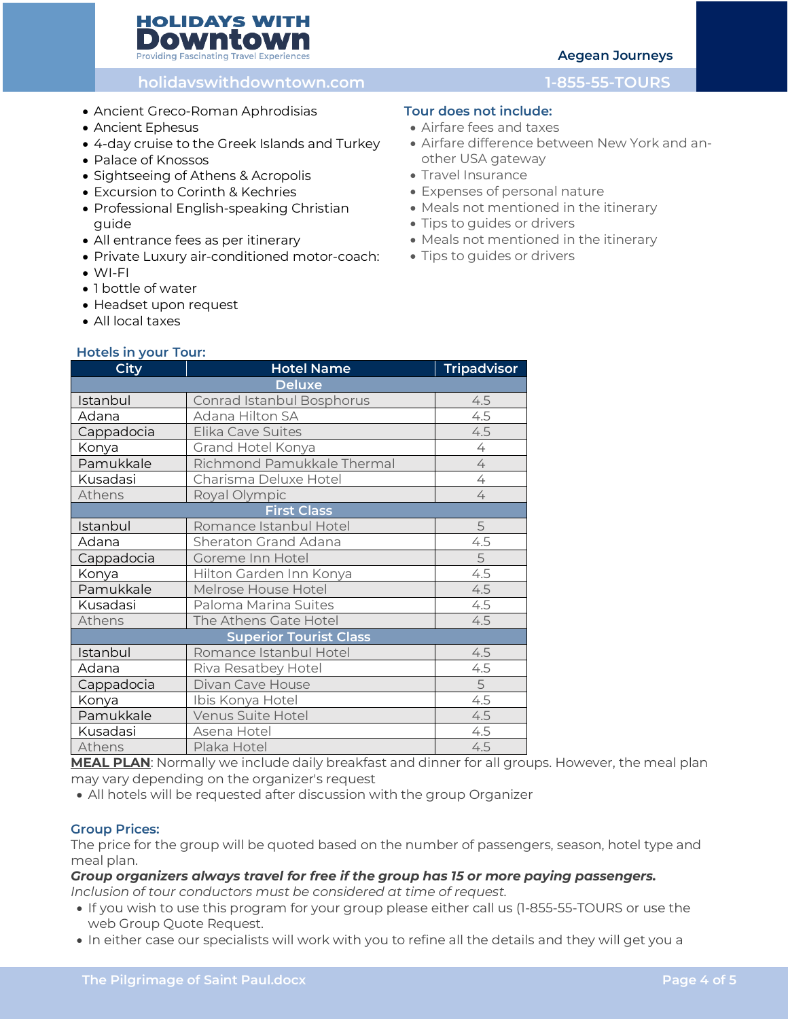# **HOLIDAYS WITH** Downtoy Providing Fascinating Travel Experien

# **Aegean Journeys**

# **holidayswithdowntown.com 1-855-55-TOURS**

- Ancient Greco-Roman Aphrodisias
- Ancient Ephesus
- 4-day cruise to the Greek Islands and Turkey
- Palace of Knossos
- Sightseeing of Athens & Acropolis
- Excursion to Corinth & Kechries
- Professional English-speaking Christian guide
- All entrance fees as per itinerary
- Private Luxury air-conditioned motor-coach:
- WI-FI
- 1 bottle of water
- Headset upon request
- All local taxes

# **Hotels in your Tour:**

# **City Hotel Name Tripadvisor Deluxe** Istanbul Conrad Istanbul Bosphorus 14.5 Adana Adana Hilton SA 4.5 Cappadocia Elika Cave Suites 1996 1997 1998 1999 Konya Grand Hotel Konya 1988 | 4 Pamukkale Richmond Pamukkale Thermal 4 Kusadasi Charisma Deluxe Hotel 1986 1986 Athens Royal Olympic Athens 4 **First Class** Istanbul Romance Istanbul Hotel 5 Adana Sheraton Grand Adana 1945 Cappadocia Goreme Inn Hotel Cappadocia 5 Konya Hilton Garden Inn Konya 4.5 Melrose House Hotel **ALC** 2008 12:5 Kusadasi Paloma Marina Suites 1945 Athens The Athens Gate Hotel 4.5 **Superior Tourist Class** Istanbul Romance Istanbul Hotel 4.5 Adana Riva Resatbey Hotel 4.5 Cappadocia Divan Cave House 5 Konya Ibis Konya Hotel 4.5 Pamukkale Venus Suite Hotel 4.5 Kusadasi Asena Hotel 1996 - Kusadasi 4.5 Athens Plaka Hotel 2008 Plaka Hotel 2008 Plan 12

**MEAL PLAN**: Normally we include daily breakfast and dinner for all groups. However, the meal plan may vary depending on the organizer's request

• All hotels will be requested after discussion with the group Organizer

# **Group Prices:**

The price for the group will be quoted based on the number of passengers, season, hotel type and meal plan.

#### *Group organizers always travel for free if the group has 15 or more paying passengers. Inclusion of tour conductors must be considered at time of request.*

- If you wish to use this program for your group please either call us (1-855-55-TOURS or use the web Group Quote Request.
- In either case our specialists will work with you to refine all the details and they will get you a

# **Tour does not include:**

- Airfare fees and taxes
- Airfare difference between New York and another USA gateway
- Travel Insurance
- Expenses of personal nature
- Meals not mentioned in the itinerary
- Tips to guides or drivers
- Meals not mentioned in the itinerary
- Tips to guides or drivers